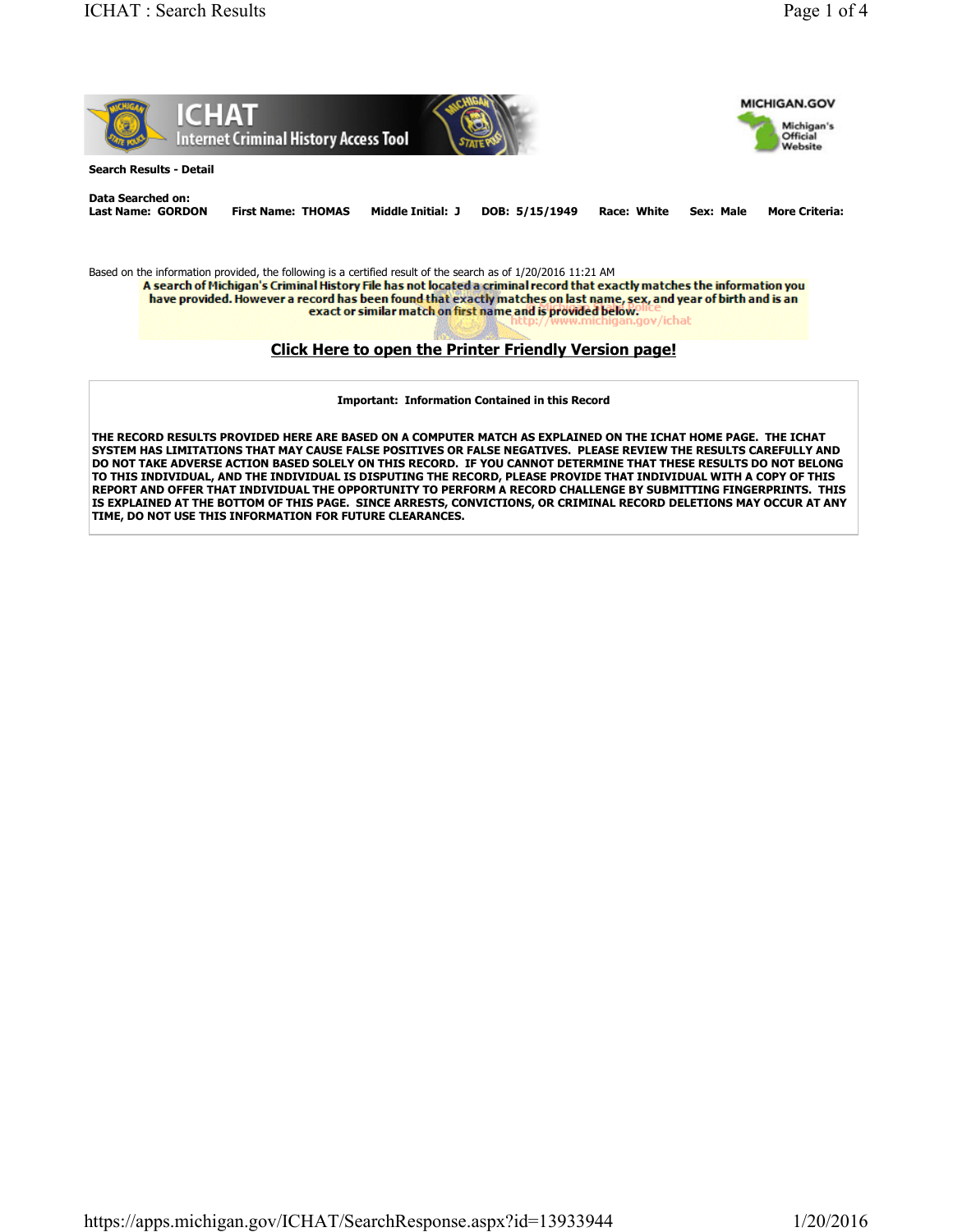

**THE RECORD RESULTS PROVIDED HERE ARE BASED ON A COMPUTER MATCH AS EXPLAINED ON THE ICHAT HOME PAGE. THE ICHAT SYSTEM HAS LIMITATIONS THAT MAY CAUSE FALSE POSITIVES OR FALSE NEGATIVES. PLEASE REVIEW THE RESULTS CAREFULLY AND DO NOT TAKE ADVERSE ACTION BASED SOLELY ON THIS RECORD. IF YOU CANNOT DETERMINE THAT THESE RESULTS DO NOT BELONG TO THIS INDIVIDUAL, AND THE INDIVIDUAL IS DISPUTING THE RECORD, PLEASE PROVIDE THAT INDIVIDUAL WITH A COPY OF THIS REPORT AND OFFER THAT INDIVIDUAL THE OPPORTUNITY TO PERFORM A RECORD CHALLENGE BY SUBMITTING FINGERPRINTS. THIS IS EXPLAINED AT THE BOTTOM OF THIS PAGE. SINCE ARRESTS, CONVICTIONS, OR CRIMINAL RECORD DELETIONS MAY OCCUR AT ANY TIME, DO NOT USE THIS INFORMATION FOR FUTURE CLEARANCES.**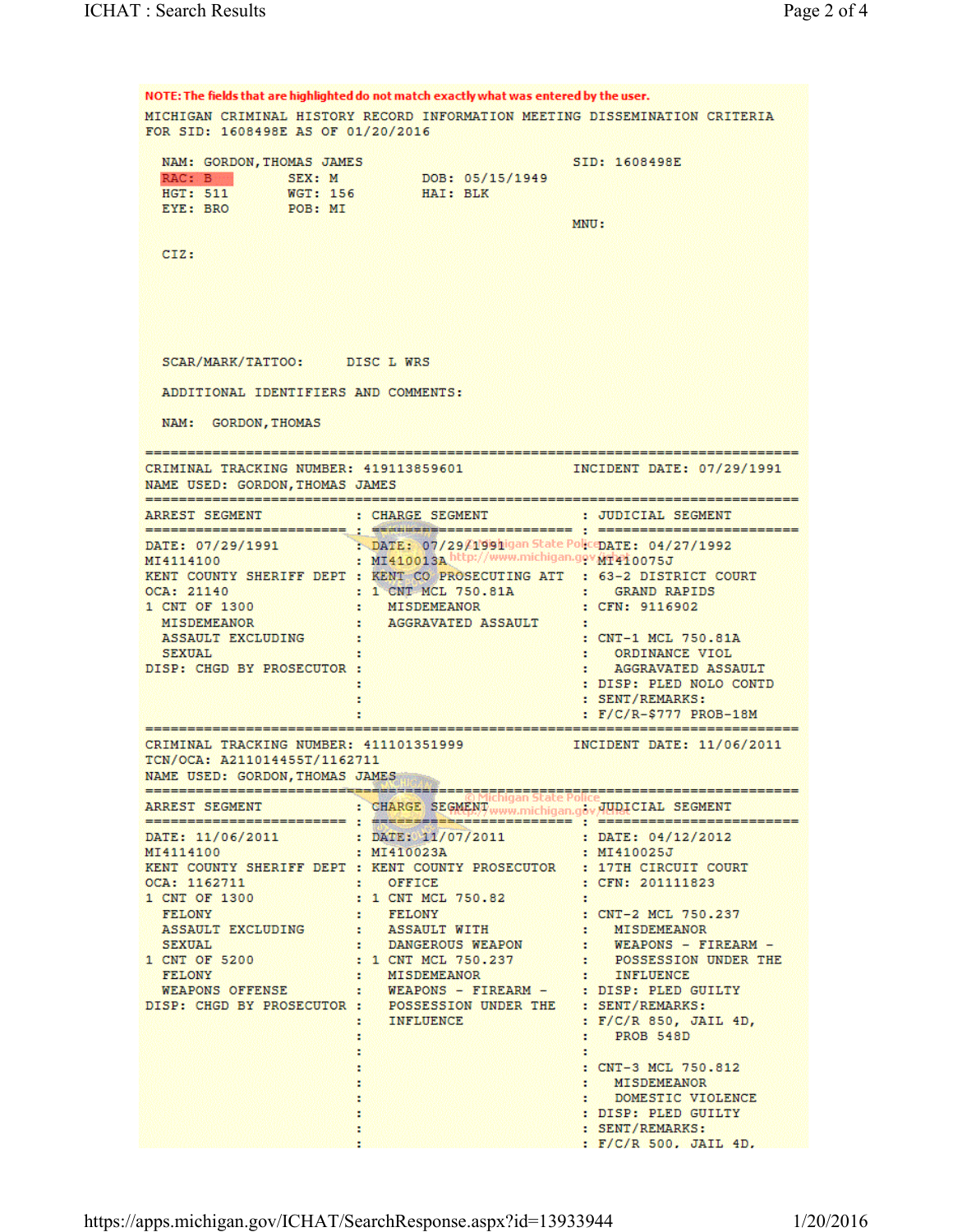NOTE: The fields that are highlighted do not match exactly what was entered by the user. MICHIGAN CRIMINAL HISTORY RECORD INFORMATION MEETING DISSEMINATION CRITERIA FOR SID: 1608498E AS OF 01/20/2016 NAM: GORDON, THOMAS JAMES SID: 1608498E RAC: B SEX: M<br>HGT: 511 WGT: 156 DOB: 05/15/1949 HAI: BLK EYE: BRO POB: MI MNU: CIZ: SCAR/MARK/TATTOO: DISC L WRS ADDITIONAL IDENTIFIERS AND COMMENTS: NAM: GORDON, THOMAS CRIMINAL TRACKING NUMBER: 419113859601 MCIDENT DATE: 07/29/1991 NAME USED: GORDON, THOMAS JAMES =================================== : JUDICIAL SEGMENT ARREST SEGMENT : CHARGE SEGMENT DATE:  $07/29/1991$  : DATE:  $07/29/199$ higan State Polic DATE:  $04/27/1992$ <br>MT4114100 : MI410013A http://www.michigan.gov/11410075J MI4114100 KENT COUNTY SHERIFF DEPT : KENT CO PROSECUTING ATT : 63-2 DISTRICT COURT : 1 CNT MCL 750.81A :<br>: MISDEMEANOR : OCA: 21140 **GRAND RAPIDS** 1 CNT OF 1300 : CFN: 9116902 MISDEMEANOR AGGRAVATED ASSAULT - 18 M. ASSAULT EXCLUDING : CNT-1 MCL 750.81A **SEXUAL** : ORDINANCE VIOL DISP: CHGD BY PROSECUTOR : AGGRAVATED ASSAULT : DISP: PLED NOLO CONTD : SENT/REMARKS:  $\mathbf{E}$ :  $F/C/R-\$777$  PROB-18M CRIMINAL TRACKING NUMBER: 411101351999 INCIDENT DATE: 11/06/2011 TCN/OCA: A211014455T/1162711 NAME USED: GORDON, THOMAS JAMES ARREST SEGMENT : CHARGE SEGMENT www.michigan.gov/HIDICIAL SEGMENT DATE: 11/06/2011 : DATE: 11/07/2011 : DATE: 04/12/2012<br>MI4114100 : MI410023A : MI410025J KENT COUNTY SHERIFF DEPT : KENT COUNTY PROSECUTOR : 17TH CIRCUIT COURT OCA: 1162711 : OFFICE<br>1 CNT OF 1300 : 1 CNT MCI : CFN: 201111823 : 1 CNT MCL 750.82 1 CNT OF 1300 FELONY : FELONY : CNT-2 MCL 750.237<br>
ASSAULT EXCLUDING : ASSAULT WITH : MISDEMEANOR<br>
SEXUAL : DANGEROUS WEAPON : WEAPONS - FIREAR<br>
CNT OF 5200 : 1 CNT MCL 750.237 : POSSESSION UNDER<br>
FELONY : MISDEMEANOR : INFLUENCE<br>
WEAPO WEAPONS - FIREARM -1 CNT OF 5200 POSSESSION UNDER THE DISP: CHGD BY PROSECUTOR : POSSESSION UNDER THE : SENT/REMARKS: INFLUENCE **Andre**  $F/C/R$  850, JAIL 4D, х. **PROB 548D COL** : CNT-3 MCL 750.812 **MISDEMEANOR** DOMESTIC VIOLENCE : DISP: PLED GUILTY : SENT/REMARKS: : F/C/R 500, JAIL 4D.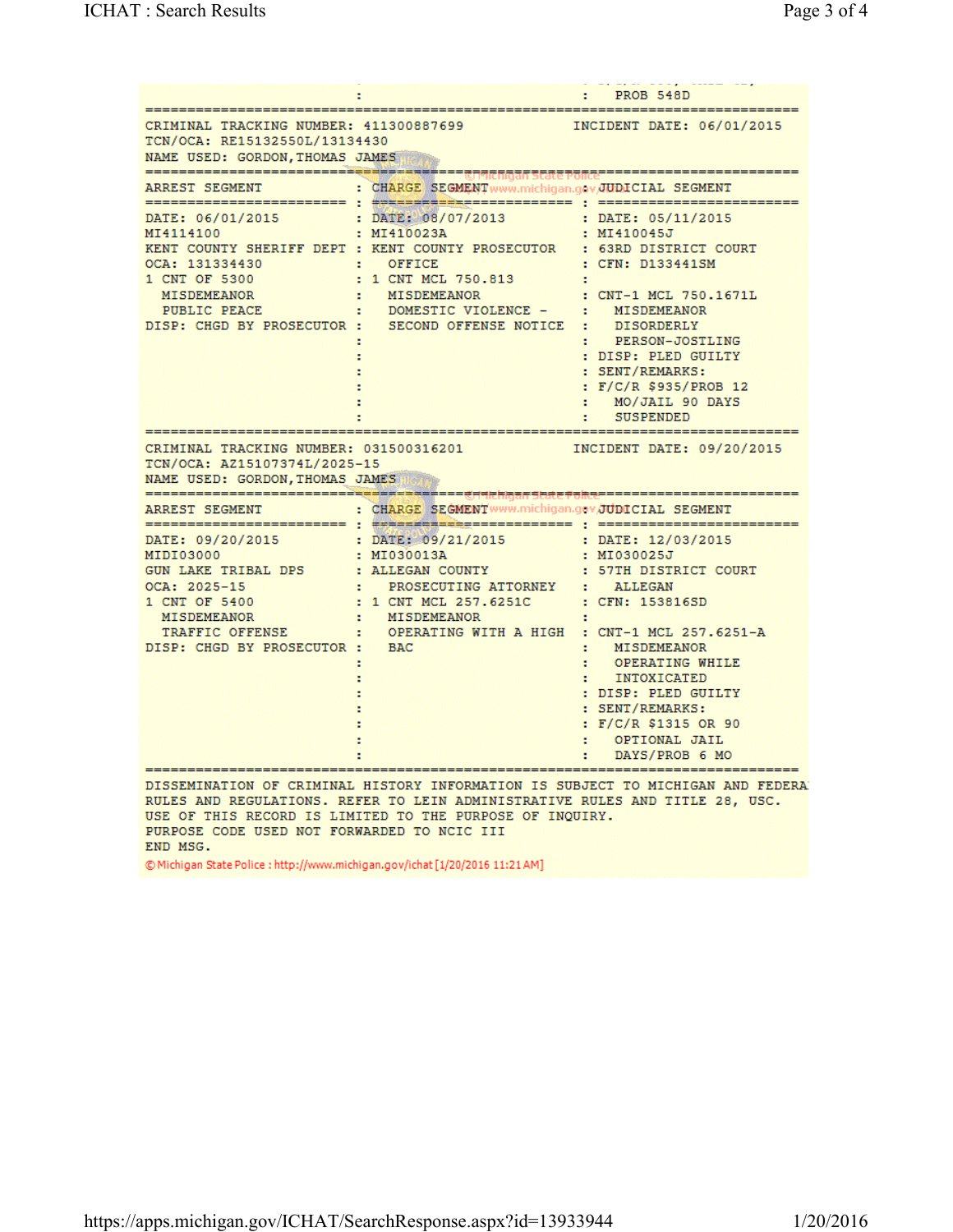|                                                                                                                                                                                                                                                                                                                                                                      | ÷                                                                                                                                                           | : PROB 548D                                                                                                                                                                      |
|----------------------------------------------------------------------------------------------------------------------------------------------------------------------------------------------------------------------------------------------------------------------------------------------------------------------------------------------------------------------|-------------------------------------------------------------------------------------------------------------------------------------------------------------|----------------------------------------------------------------------------------------------------------------------------------------------------------------------------------|
| CRIMINAL TRACKING NUMBER: 411300887699<br>INCIDENT DATE: 06/01/2015<br>TCN/OCA: RE15132550L/13134430<br>NAME USED: GORDON, THOMAS JAMES                                                                                                                                                                                                                              |                                                                                                                                                             |                                                                                                                                                                                  |
| ARREST SEGMENT                                                                                                                                                                                                                                                                                                                                                       | : CHARGE SEGMENT www.michigan.gov.JUDICIAL SEGMENT                                                                                                          |                                                                                                                                                                                  |
| DATE: 06/01/2015 : DATE: 08/07/2013 : DATE: 05/11/2015<br>MI4114100 : MI410023A : MI410045J<br>KENT COUNTY SHERIFF DEPT : KENT COUNTY PROSECUTOR : 63RD DISTRICT COURT<br>OCA: 131334430<br>1 CNT OF 5300 : 1 CNT MCL 750.813<br><b>MISDEMEANOR</b><br>PUBLIC PEACE<br>DISP: CHGD BY PROSECUTOR : SECOND OFFENSE NOTICE : DISORDERLY                                 | OFFICE<br>88<br>MISDEMEANOR<br>an an S<br>: DOMESTIC VIOLENCE - : MISDEMEANOR                                                                               | : CFN: D133441SM<br>: CNT-1 MCL 750.1671L<br>: PERSON-JOSTLING<br>: DISP: PLED GUILTY<br>: SENT/REMARKS:<br>: $F/C/R$ \$935/PROB 12<br>MO/JAIL 90 DAYS<br>88<br>: SUSPENDED      |
| CRIMINAL TRACKING NUMBER: 031500316201 [NCIDENT DATE: 09/20/2015]<br>TCN/OCA: AZ15107374L/2025-15<br>NAME USED: GORDON, THOMAS JAMES                                                                                                                                                                                                                                 |                                                                                                                                                             |                                                                                                                                                                                  |
| ARREST SEGMENT : CHARGE SEGMENTWWW.michigan.gov.JUDICIAL SEGMENT                                                                                                                                                                                                                                                                                                     |                                                                                                                                                             |                                                                                                                                                                                  |
| DATE: 09/20/2015 : DATE: 09/21/2015 : DATE: 12/03/2015<br>MIDIO3000 : MIO30013A : MIO30013A<br>MIDI03000<br>GUN LAKE TRIBAL DPS : ALLEGAN COUNTY : 57TH DISTRICT COURT<br>$OCA: 2025 - 15$<br>1 CNT OF 5400<br><b>MISDEMEANOR</b><br>DISP: CHGD BY PROSECUTOR : BAC                                                                                                  | RESECUTING ATTORNEY : ALLEGAN<br>: 1 CNT MCL 257.6251C : CFN: 153816SD<br>: MISDEMEANOR :<br>TRAFFIC OFFENSE : OPERATING WITH A HIGH : CNT-1 MCL 257.6251-A | MISDEMEANOR<br>OPERATING WHILE<br>H.<br>: INTOXICATED<br>: DISP: PLED GUILTY<br>: SENT/REMARKS:<br>: $F/C/R$ \$1315 OR 90<br>OPTIONAL JAIL<br><b>Barbara</b><br>: DAYS/PROB 6 MO |
| DISSEMINATION OF CRIMINAL HISTORY INFORMATION IS SUBJECT TO MICHIGAN AND FEDERA<br>RULES AND REGULATIONS. REFER TO LEIN ADMINISTRATIVE RULES AND TITLE 28, USC.<br>USE OF THIS RECORD IS LIMITED TO THE PURPOSE OF INOUIRY.<br>PURPOSE CODE USED NOT FORWARDED TO NCIC III<br>END MSG.<br>@Michigan State Police: http://www.michigan.gov/ichat [1/20/2016 11:21 AM] |                                                                                                                                                             |                                                                                                                                                                                  |